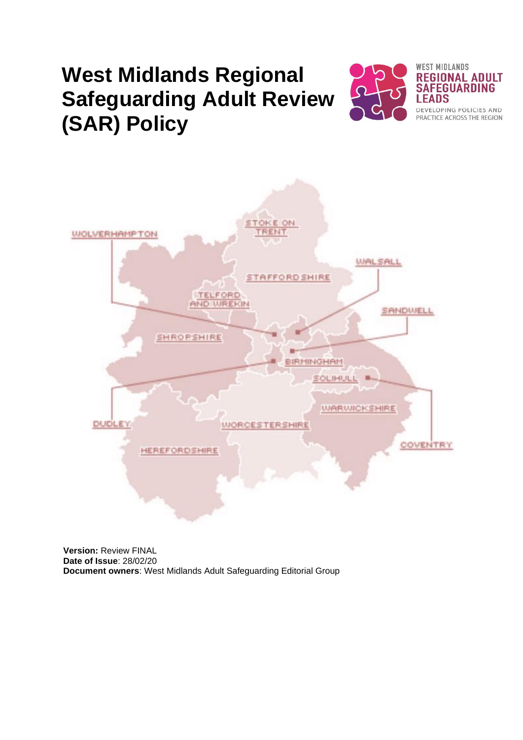# **West Midlands Regional Safeguarding Adult Review (SAR) Policy**





**Version:** Review FINAL **Date of Issue**: 28/02/20 **Document owners**: West Midlands Adult Safeguarding Editorial Group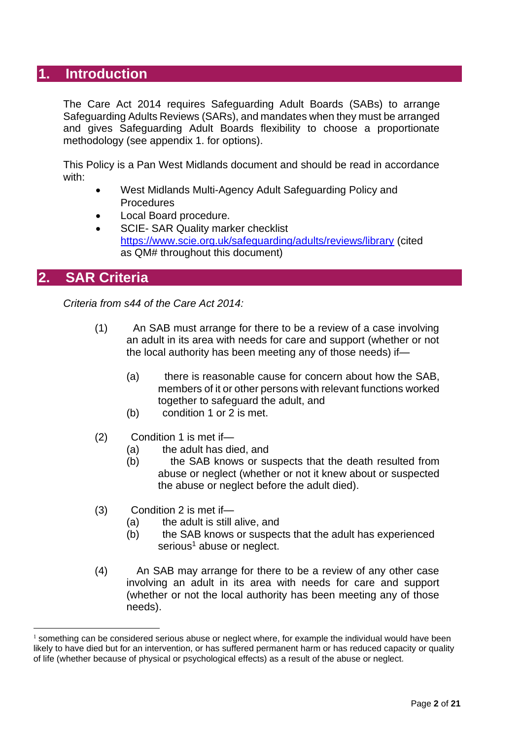# **1. Introduction**

The Care Act 2014 requires Safeguarding Adult Boards (SABs) to arrange Safeguarding Adults Reviews (SARs), and mandates when they must be arranged and gives Safeguarding Adult Boards flexibility to choose a proportionate methodology (see appendix 1. for options).

This Policy is a Pan West Midlands document and should be read in accordance with:

- West Midlands Multi-Agency Adult Safeguarding Policy and Procedures
- Local Board procedure.
- SCIE- SAR Quality marker checklist <https://www.scie.org.uk/safeguarding/adults/reviews/library> (cited as QM# throughout this document)

## **2. SAR Criteria**

*Criteria from s44 of the Care Act 2014:*

- (1) An SAB must arrange for there to be a review of a case involving an adult in its area with needs for care and support (whether or not the local authority has been meeting any of those needs) if—
	- (a) there is reasonable cause for concern about how the SAB, members of it or other persons with relevant functions worked together to safeguard the adult, and
	- (b) condition 1 or 2 is met.
- (2) Condition 1 is met if—
	- (a) the adult has died, and
	- (b) the SAB knows or suspects that the death resulted from abuse or neglect (whether or not it knew about or suspected the abuse or neglect before the adult died).
- (3) Condition 2 is met if—
	- (a) the adult is still alive, and
	- (b) the SAB knows or suspects that the adult has experienced serious<sup>1</sup> abuse or neglect.
- (4) An SAB may arrange for there to be a review of any other case involving an adult in its area with needs for care and support (whether or not the local authority has been meeting any of those needs).

 $<sup>1</sup>$  something can be considered serious abuse or neglect where, for example the individual would have been</sup> likely to have died but for an intervention, or has suffered permanent harm or has reduced capacity or quality of life (whether because of physical or psychological effects) as a result of the abuse or neglect.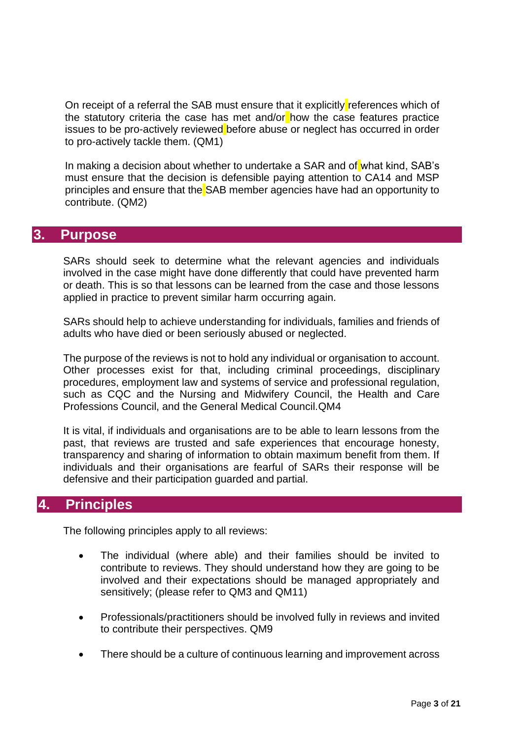On receipt of a referral the SAB must ensure that it explicitly references which of the statutory criteria the case has met and/or how the case features practice issues to be pro-actively reviewed before abuse or neglect has occurred in order to pro-actively tackle them. (QM1)

In making a decision about whether to undertake a SAR and of what kind, SAB's must ensure that the decision is defensible paying attention to CA14 and MSP principles and ensure that the SAB member agencies have had an opportunity to contribute. (QM2)

## **3. Purpose**

SARs should seek to determine what the relevant agencies and individuals involved in the case might have done differently that could have prevented harm or death. This is so that lessons can be learned from the case and those lessons applied in practice to prevent similar harm occurring again.

SARs should help to achieve understanding for individuals, families and friends of adults who have died or been seriously abused or neglected.

The purpose of the reviews is not to hold any individual or organisation to account. Other processes exist for that, including criminal proceedings, disciplinary procedures, employment law and systems of service and professional regulation, such as CQC and the Nursing and Midwifery Council, the Health and Care Professions Council, and the General Medical Council.QM4

It is vital, if individuals and organisations are to be able to learn lessons from the past, that reviews are trusted and safe experiences that encourage honesty, transparency and sharing of information to obtain maximum benefit from them. If individuals and their organisations are fearful of SARs their response will be defensive and their participation guarded and partial.

# **4. Principles**

The following principles apply to all reviews:

- The individual (where able) and their families should be invited to contribute to reviews. They should understand how they are going to be involved and their expectations should be managed appropriately and sensitively; (please refer to QM3 and QM11)
- Professionals/practitioners should be involved fully in reviews and invited to contribute their perspectives. QM9
- There should be a culture of continuous learning and improvement across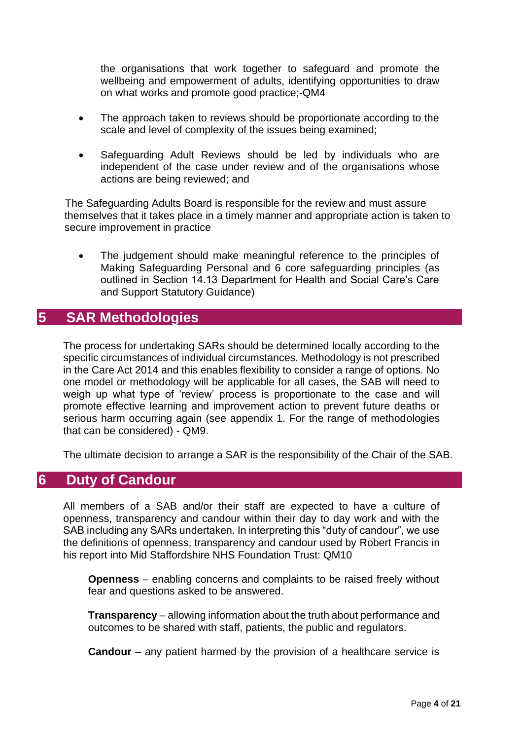the organisations that work together to safeguard and promote the wellbeing and empowerment of adults, identifying opportunities to draw on what works and promote good practice;-QM4

- The approach taken to reviews should be proportionate according to the scale and level of complexity of the issues being examined;
- Safeguarding Adult Reviews should be led by individuals who are independent of the case under review and of the organisations whose actions are being reviewed; and

The Safeguarding Adults Board is responsible for the review and must assure themselves that it takes place in a timely manner and appropriate action is taken to secure improvement in practice

The judgement should make meaningful reference to the principles of Making Safeguarding Personal and 6 core safeguarding principles (as outlined in Section 14.13 Department for Health and Social Care's Care and Support Statutory Guidance)

# **5 SAR Methodologies**

The process for undertaking SARs should be determined locally according to the specific circumstances of individual circumstances. Methodology is not prescribed in the Care Act 2014 and this enables flexibility to consider a range of options. No one model or methodology will be applicable for all cases, the SAB will need to weigh up what type of 'review' process is proportionate to the case and will promote effective learning and improvement action to prevent future deaths or serious harm occurring again (see appendix 1. For the range of methodologies that can be considered) - QM9.

The ultimate decision to arrange a SAR is the responsibility of the Chair of the SAB.

# **6 Duty of Candour**

All members of a SAB and/or their staff are expected to have a culture of openness, transparency and candour within their day to day work and with the SAB including any SARs undertaken. In interpreting this "duty of candour", we use the definitions of openness, transparency and candour used by Robert Francis in his report into Mid Staffordshire NHS Foundation Trust: QM10

**Openness** – enabling concerns and complaints to be raised freely without fear and questions asked to be answered.

**Transparency** – allowing information about the truth about performance and outcomes to be shared with staff, patients, the public and regulators.

**Candour** – any patient harmed by the provision of a healthcare service is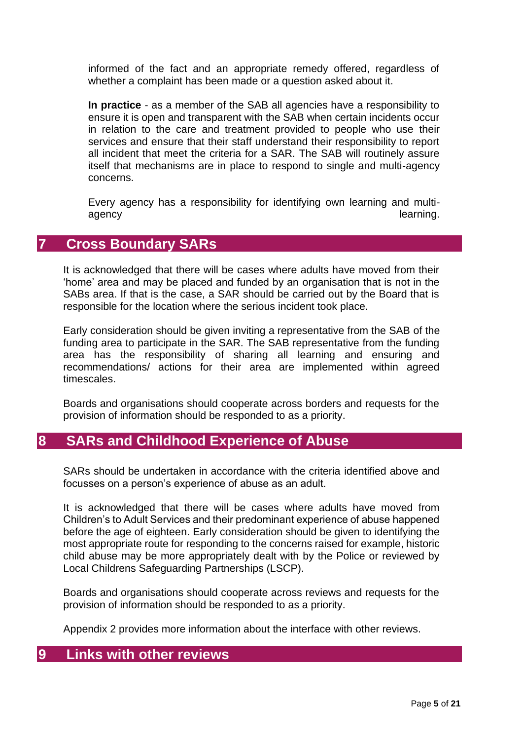informed of the fact and an appropriate remedy offered, regardless of whether a complaint has been made or a question asked about it.

**In practice** - as a member of the SAB all agencies have a responsibility to ensure it is open and transparent with the SAB when certain incidents occur in relation to the care and treatment provided to people who use their services and ensure that their staff understand their responsibility to report all incident that meet the criteria for a SAR. The SAB will routinely assure itself that mechanisms are in place to respond to single and multi-agency concerns.

Every agency has a responsibility for identifying own learning and multiagency agency and the contract of the contract of the contract of the learning.

# **7 Cross Boundary SARs**

It is acknowledged that there will be cases where adults have moved from their 'home' area and may be placed and funded by an organisation that is not in the SABs area. If that is the case, a SAR should be carried out by the Board that is responsible for the location where the serious incident took place.

Early consideration should be given inviting a representative from the SAB of the funding area to participate in the SAR. The SAB representative from the funding area has the responsibility of sharing all learning and ensuring and recommendations/ actions for their area are implemented within agreed timescales.

Boards and organisations should cooperate across borders and requests for the provision of information should be responded to as a priority.

# **8 SARs and Childhood Experience of Abuse**

SARs should be undertaken in accordance with the criteria identified above and focusses on a person's experience of abuse as an adult.

It is acknowledged that there will be cases where adults have moved from Children's to Adult Services and their predominant experience of abuse happened before the age of eighteen. Early consideration should be given to identifying the most appropriate route for responding to the concerns raised for example, historic child abuse may be more appropriately dealt with by the Police or reviewed by Local Childrens Safeguarding Partnerships (LSCP).

Boards and organisations should cooperate across reviews and requests for the provision of information should be responded to as a priority.

Appendix 2 provides more information about the interface with other reviews.

## **9 Links with other reviews**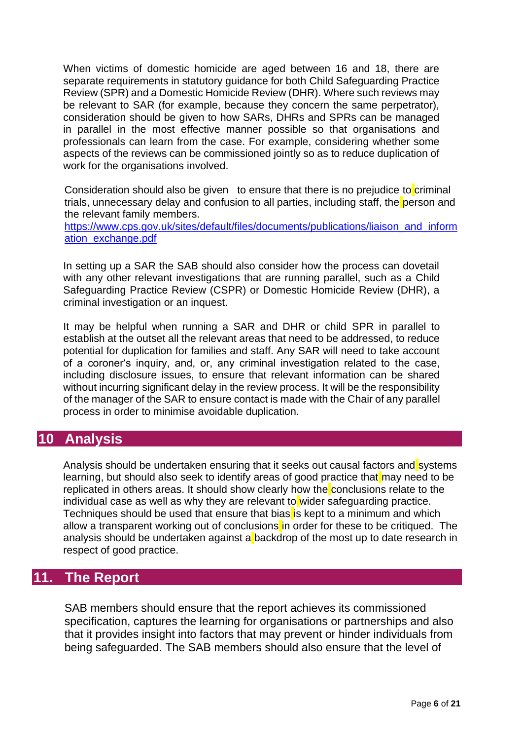When victims of domestic homicide are aged between 16 and 18, there are separate requirements in statutory guidance for both Child Safeguarding Practice Review (SPR) and a Domestic Homicide Review (DHR). Where such reviews may be relevant to SAR (for example, because they concern the same perpetrator), consideration should be given to how SARs, DHRs and SPRs can be managed in parallel in the most effective manner possible so that organisations and professionals can learn from the case. For example, considering whether some aspects of the reviews can be commissioned jointly so as to reduce duplication of work for the organisations involved.

Consideration should also be given to ensure that there is no prejudice to criminal trials, unnecessary delay and confusion to all parties, including staff, the person and the relevant family members.

[https://www.cps.gov.uk/sites/default/files/documents/publications/liaison\\_and\\_inform](https://protect-eu.mimecast.com/s/ZcV1CK8Z7c2ny9KUM0SQ-?domain=cps.gov.uk) [ation\\_exchange.pdf](https://protect-eu.mimecast.com/s/ZcV1CK8Z7c2ny9KUM0SQ-?domain=cps.gov.uk)

In setting up a SAR the SAB should also consider how the process can dovetail with any other relevant investigations that are running parallel, such as a Child Safeguarding Practice Review (CSPR) or Domestic Homicide Review (DHR), a criminal investigation or an inquest.

It may be helpful when running a SAR and DHR or child SPR in parallel to establish at the outset all the relevant areas that need to be addressed, to reduce potential for duplication for families and staff. Any SAR will need to take account of a coroner's inquiry, and, or, any criminal investigation related to the case, including disclosure issues, to ensure that relevant information can be shared without incurring significant delay in the review process. It will be the responsibility of the manager of the SAR to ensure contact is made with the Chair of any parallel process in order to minimise avoidable duplication.

## **10 Analysis**

Analysis should be undertaken ensuring that it seeks out causal factors and systems learning, but should also seek to identify areas of good practice that may need to be replicated in others areas. It should show clearly how the conclusions relate to the individual case as well as why they are relevant to wider safeguarding practice. Techniques should be used that ensure that bias is kept to a minimum and which allow a transparent working out of conclusions in order for these to be critiqued. The analysis should be undertaken against a backdrop of the most up to date research in respect of good practice.

# **11. The Report**

SAB members should ensure that the report achieves its commissioned specification, captures the learning for organisations or partnerships and also that it provides insight into factors that may prevent or hinder individuals from being safeguarded. The SAB members should also ensure that the level of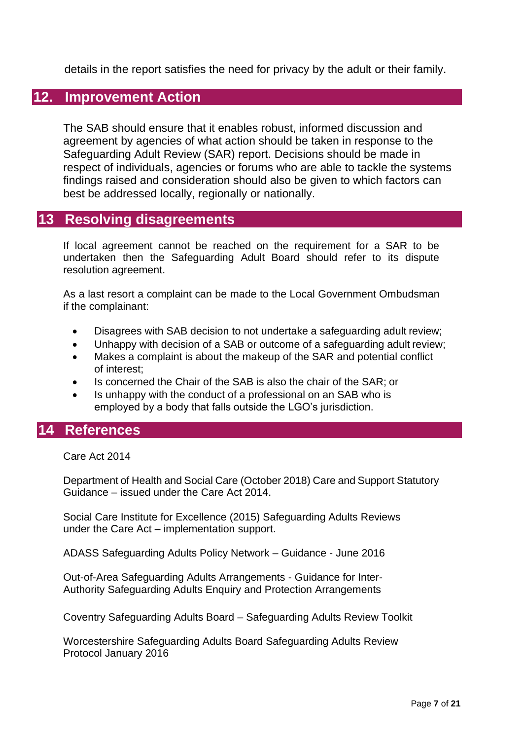details in the report satisfies the need for privacy by the adult or their family.

# **12. Improvement Action**

The SAB should ensure that it enables robust, informed discussion and agreement by agencies of what action should be taken in response to the Safeguarding Adult Review (SAR) report. Decisions should be made in respect of individuals, agencies or forums who are able to tackle the systems findings raised and consideration should also be given to which factors can best be addressed locally, regionally or nationally.

## **13 Resolving disagreements**

If local agreement cannot be reached on the requirement for a SAR to be undertaken then the Safeguarding Adult Board should refer to its dispute resolution agreement.

As a last resort a complaint can be made to the Local Government Ombudsman if the complainant:

- Disagrees with SAB decision to not undertake a safeguarding adult review;
- Unhappy with decision of a SAB or outcome of a safeguarding adult review;
- Makes a complaint is about the makeup of the SAR and potential conflict of interest;
- Is concerned the Chair of the SAB is also the chair of the SAR; or
- Is unhappy with the conduct of a professional on an SAB who is employed by a body that falls outside the LGO's jurisdiction.

## **14 References**

Care Act 2014

Department of Health and Social Care (October 2018) Care and Support Statutory Guidance – issued under the Care Act 2014.

Social Care Institute for Excellence (2015) Safeguarding Adults Reviews under the Care Act – implementation support.

ADASS Safeguarding Adults Policy Network – Guidance - June 2016

Out-of-Area Safeguarding Adults Arrangements - Guidance for Inter-Authority Safeguarding Adults Enquiry and Protection Arrangements

Coventry Safeguarding Adults Board – Safeguarding Adults Review Toolkit

Worcestershire Safeguarding Adults Board Safeguarding Adults Review Protocol January 2016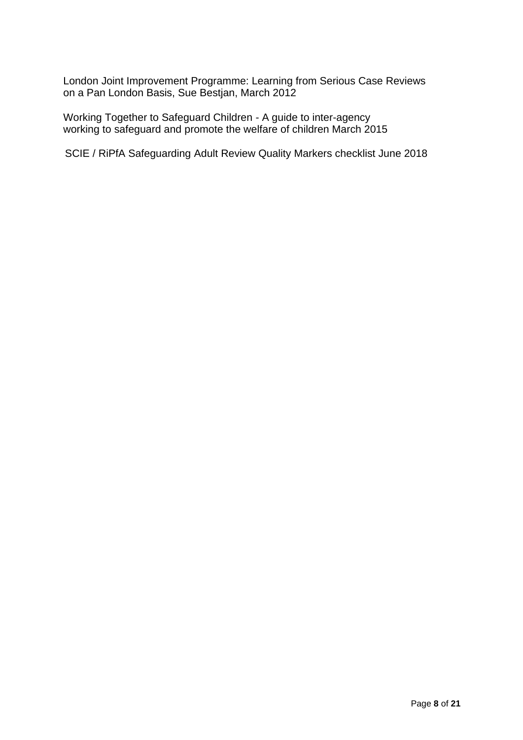London Joint Improvement Programme: Learning from Serious Case Reviews on a Pan London Basis, Sue Bestjan, March 2012

Working Together to Safeguard Children - A guide to inter-agency working to safeguard and promote the welfare of children March 2015

SCIE / RiPfA Safeguarding Adult Review Quality Markers checklist June 2018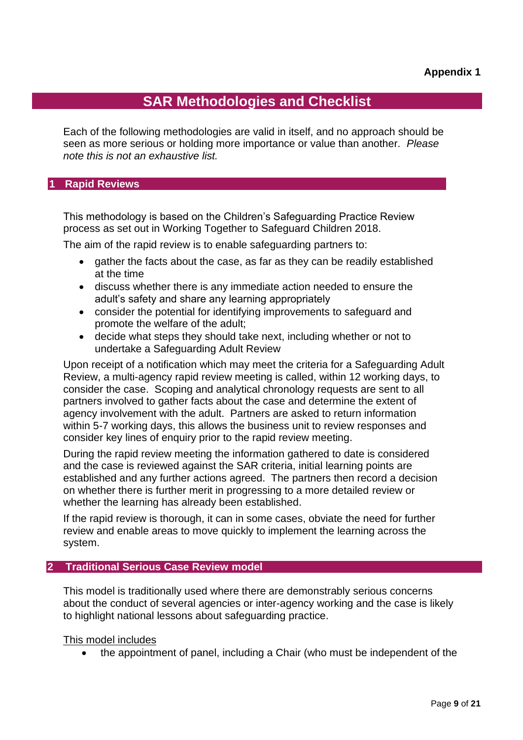# **SAR Methodologies and Checklist**

Each of the following methodologies are valid in itself, and no approach should be seen as more serious or holding more importance or value than another*. Please note this is not an exhaustive list.*

#### **1 Rapid Reviews**

This methodology is based on the Children's Safeguarding Practice Review process as set out in Working Together to Safeguard Children 2018.

The aim of the rapid review is to enable safeguarding partners to:

- gather the facts about the case, as far as they can be readily established at the time
- discuss whether there is any immediate action needed to ensure the adult's safety and share any learning appropriately
- consider the potential for identifying improvements to safeguard and promote the welfare of the adult;
- decide what steps they should take next, including whether or not to undertake a Safeguarding Adult Review

Upon receipt of a notification which may meet the criteria for a Safeguarding Adult Review, a multi-agency rapid review meeting is called, within 12 working days, to consider the case. Scoping and analytical chronology requests are sent to all partners involved to gather facts about the case and determine the extent of agency involvement with the adult. Partners are asked to return information within 5-7 working days, this allows the business unit to review responses and consider key lines of enquiry prior to the rapid review meeting.

During the rapid review meeting the information gathered to date is considered and the case is reviewed against the SAR criteria, initial learning points are established and any further actions agreed. The partners then record a decision on whether there is further merit in progressing to a more detailed review or whether the learning has already been established.

If the rapid review is thorough, it can in some cases, obviate the need for further review and enable areas to move quickly to implement the learning across the system.

#### **2 Traditional Serious Case Review model**

This model is traditionally used where there are demonstrably serious concerns about the conduct of several agencies or inter-agency working and the case is likely to highlight national lessons about safeguarding practice.

This model includes

• the appointment of panel, including a Chair (who must be independent of the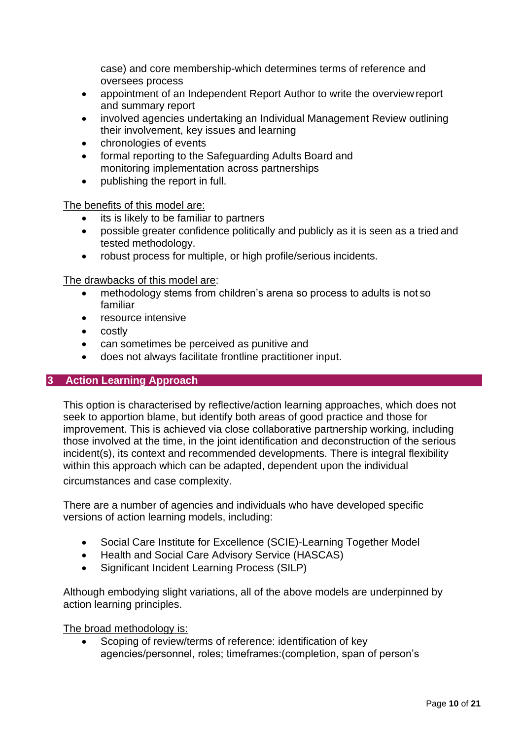case) and core membership-which determines terms of reference and oversees process

- appointment of an Independent Report Author to write the overviewreport and summary report
- involved agencies undertaking an Individual Management Review outlining their involvement, key issues and learning
- chronologies of events
- formal reporting to the Safeguarding Adults Board and monitoring implementation across partnerships
- publishing the report in full.

The benefits of this model are:

- its is likely to be familiar to partners
- possible greater confidence politically and publicly as it is seen as a tried and tested methodology.
- robust process for multiple, or high profile/serious incidents.

The drawbacks of this model are:

- methodology stems from children's arena so process to adults is not so familiar
- resource intensive
- costly
- can sometimes be perceived as punitive and
- does not always facilitate frontline practitioner input.

## **3 Action Learning Approach**

This option is characterised by reflective/action learning approaches, which does not seek to apportion blame, but identify both areas of good practice and those for improvement. This is achieved via close collaborative partnership working, including those involved at the time, in the joint identification and deconstruction of the serious incident(s), its context and recommended developments. There is integral flexibility within this approach which can be adapted, dependent upon the individual circumstances and case complexity.

There are a number of agencies and individuals who have developed specific versions of action learning models, including:

- Social Care Institute for Excellence (SCIE)-Learning Together Model
- Health and Social Care Advisory Service (HASCAS)
- Significant Incident Learning Process (SILP)

Although embodying slight variations, all of the above models are underpinned by action learning principles.

The broad methodology is:

Scoping of review/terms of reference: identification of key agencies/personnel, roles; timeframes:(completion, span of person's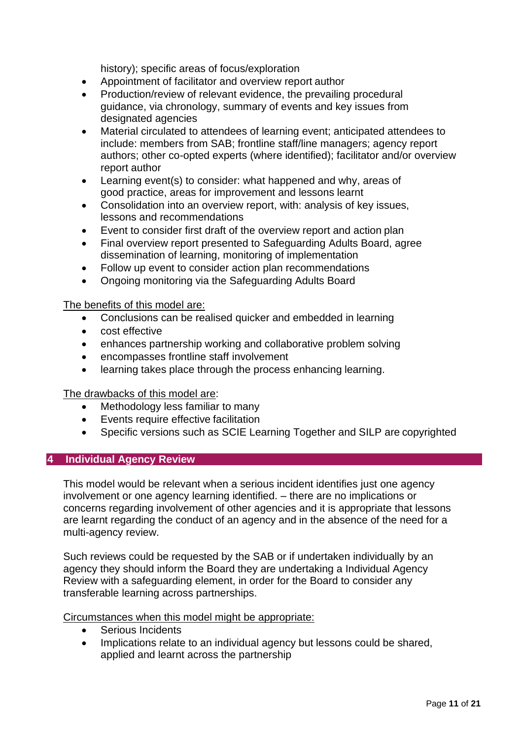history); specific areas of focus/exploration

- Appointment of facilitator and overview report author
- Production/review of relevant evidence, the prevailing procedural guidance, via chronology, summary of events and key issues from designated agencies
- Material circulated to attendees of learning event; anticipated attendees to include: members from SAB; frontline staff/line managers; agency report authors; other co-opted experts (where identified); facilitator and/or overview report author
- Learning event(s) to consider: what happened and why, areas of good practice, areas for improvement and lessons learnt
- Consolidation into an overview report, with: analysis of key issues, lessons and recommendations
- Event to consider first draft of the overview report and action plan
- Final overview report presented to Safeguarding Adults Board, agree dissemination of learning, monitoring of implementation
- Follow up event to consider action plan recommendations
- Ongoing monitoring via the Safeguarding Adults Board

The benefits of this model are:

- Conclusions can be realised quicker and embedded in learning
- cost effective
- enhances partnership working and collaborative problem solving
- encompasses frontline staff involvement
- learning takes place through the process enhancing learning.

The drawbacks of this model are:

- Methodology less familiar to many
- Events require effective facilitation
- Specific versions such as SCIE Learning Together and SILP are copyrighted

## **4 Individual Agency Review**

This model would be relevant when a serious incident identifies just one agency involvement or one agency learning identified. – there are no implications or concerns regarding involvement of other agencies and it is appropriate that lessons are learnt regarding the conduct of an agency and in the absence of the need for a multi-agency review.

Such reviews could be requested by the SAB or if undertaken individually by an agency they should inform the Board they are undertaking a Individual Agency Review with a safeguarding element, in order for the Board to consider any transferable learning across partnerships.

Circumstances when this model might be appropriate:

- Serious Incidents
- Implications relate to an individual agency but lessons could be shared, applied and learnt across the partnership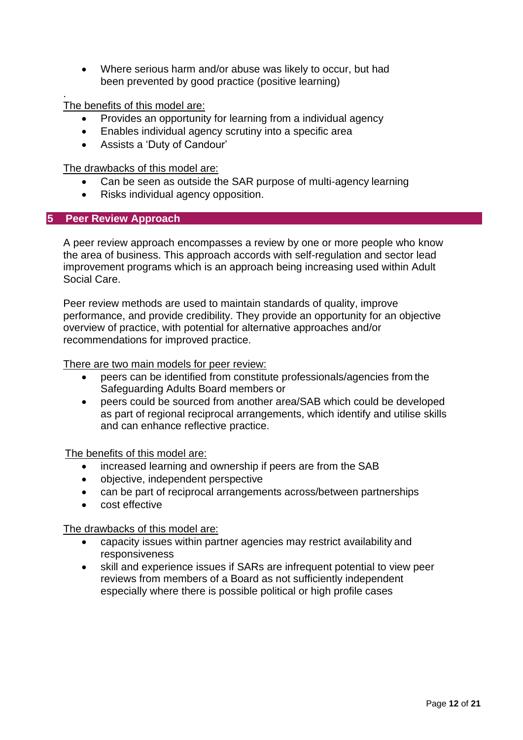• Where serious harm and/or abuse was likely to occur, but had been prevented by good practice (positive learning)

The benefits of this model are:

.

- Provides an opportunity for learning from a individual agency
- Enables individual agency scrutiny into a specific area
- Assists a 'Duty of Candour'

The drawbacks of this model are:

- Can be seen as outside the SAR purpose of multi-agency learning
- Risks individual agency opposition.

## **5 Peer Review Approach**

A peer review approach encompasses a review by one or more people who know the area of business. This approach accords with self-regulation and sector lead improvement programs which is an approach being increasing used within Adult Social Care.

Peer review methods are used to maintain standards of quality, improve performance, and provide credibility. They provide an opportunity for an objective overview of practice, with potential for alternative approaches and/or recommendations for improved practice.

There are two main models for peer review:

- peers can be identified from constitute professionals/agencies from the Safeguarding Adults Board members or
- peers could be sourced from another area/SAB which could be developed as part of regional reciprocal arrangements, which identify and utilise skills and can enhance reflective practice.

The benefits of this model are:

- increased learning and ownership if peers are from the SAB
- objective, independent perspective
- can be part of reciprocal arrangements across/between partnerships
- cost effective

The drawbacks of this model are:

- capacity issues within partner agencies may restrict availability and responsiveness
- skill and experience issues if SARs are infrequent potential to view peer reviews from members of a Board as not sufficiently independent especially where there is possible political or high profile cases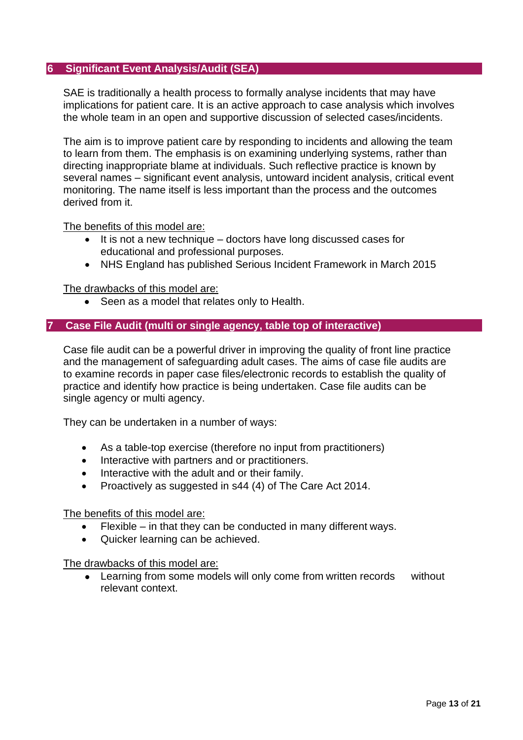## **6 Significant Event Analysis/Audit (SEA)**

SAE is traditionally a health process to formally analyse incidents that may have implications for patient care. It is an active approach to case analysis which involves the whole team in an open and supportive discussion of selected cases/incidents.

The aim is to improve patient care by responding to incidents and allowing the team to learn from them. The emphasis is on examining underlying systems, rather than directing inappropriate blame at individuals. Such reflective practice is known by several names – significant event analysis, untoward incident analysis, critical event monitoring. The name itself is less important than the process and the outcomes derived from it.

The benefits of this model are:

- It is not a new technique doctors have long discussed cases for educational and professional purposes.
- NHS England has published Serious Incident Framework in March 2015

The drawbacks of this model are:

• Seen as a model that relates only to Health.

#### **7 Case File Audit (multi or single agency, table top of interactive)**

Case file audit can be a powerful driver in improving the quality of front line practice and the management of safeguarding adult cases. The aims of case file audits are to examine records in paper case files/electronic records to establish the quality of practice and identify how practice is being undertaken. Case file audits can be single agency or multi agency.

They can be undertaken in a number of ways:

- As a table-top exercise (therefore no input from practitioners)
- Interactive with partners and or practitioners.
- Interactive with the adult and or their family.
- Proactively as suggested in s44 (4) of The Care Act 2014.

The benefits of this model are:

- $F$ lexible in that they can be conducted in many different ways.
- Quicker learning can be achieved.

The drawbacks of this model are:

• Learning from some models will only come from written records without relevant context.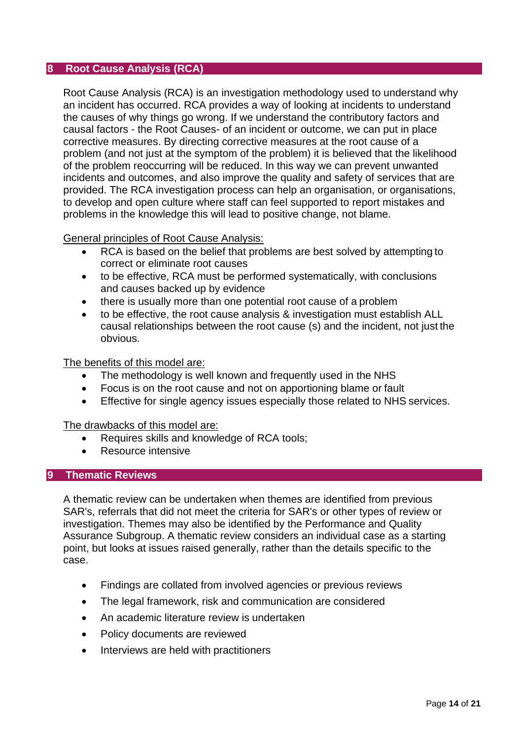## **8 Root Cause Analysis (RCA)**

Root Cause Analysis (RCA) is an investigation methodology used to understand why an incident has occurred. RCA provides a way of looking at incidents to understand the causes of why things go wrong. If we understand the contributory factors and causal factors - the Root Causes- of an incident or outcome, we can put in place corrective measures. By directing corrective measures at the root cause of a problem (and not just at the symptom of the problem) it is believed that the likelihood of the problem reoccurring will be reduced. In this way we can prevent unwanted incidents and outcomes, and also improve the quality and safety of services that are provided. The RCA investigation process can help an organisation, or organisations, to develop and open culture where staff can feel supported to report mistakes and problems in the knowledge this will lead to positive change, not blame.

General principles of Root Cause Analysis:

- RCA is based on the belief that problems are best solved by attempting to correct or eliminate root causes
- to be effective, RCA must be performed systematically, with conclusions and causes backed up by evidence
- there is usually more than one potential root cause of a problem
- to be effective, the root cause analysis & investigation must establish ALL causal relationships between the root cause (s) and the incident, not just the obvious.

The benefits of this model are:

- The methodology is well known and frequently used in the NHS
- Focus is on the root cause and not on apportioning blame or fault
- Effective for single agency issues especially those related to NHS services.

The drawbacks of this model are:

- Requires skills and knowledge of RCA tools;
- Resource intensive

#### **9 Thematic Reviews**

A thematic review can be undertaken when themes are identified from previous SAR's, referrals that did not meet the criteria for SAR's or other types of review or investigation. Themes may also be identified by the Performance and Quality Assurance Subgroup. A thematic review considers an individual case as a starting point, but looks at issues raised generally, rather than the details specific to the case.

- Findings are collated from involved agencies or previous reviews
- The legal framework, risk and communication are considered
- An academic literature review is undertaken
- Policy documents are reviewed
- Interviews are held with practitioners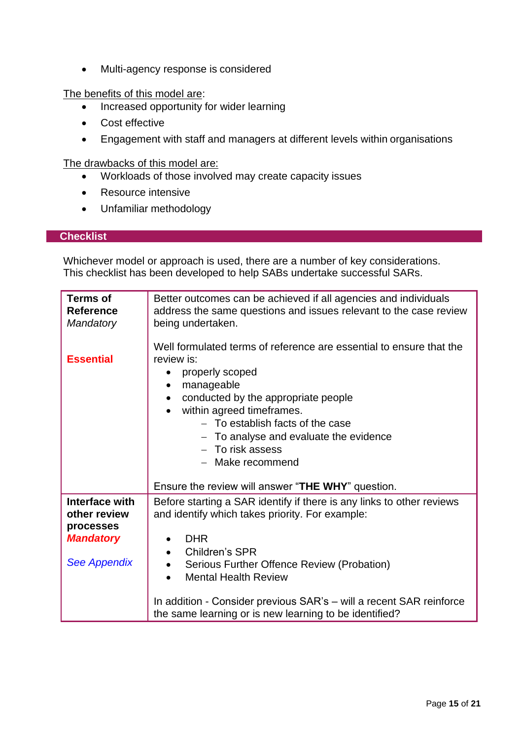• Multi-agency response is considered

The benefits of this model are:

- Increased opportunity for wider learning
- Cost effective
- Engagement with staff and managers at different levels within organisations

The drawbacks of this model are:

- Workloads of those involved may create capacity issues
- Resource intensive
- Unfamiliar methodology

## **Checklist**

Whichever model or approach is used, there are a number of key considerations. This checklist has been developed to help SABs undertake successful SARs.

| <b>Terms of</b><br><b>Reference</b><br><b>Mandatory</b> | Better outcomes can be achieved if all agencies and individuals<br>address the same questions and issues relevant to the case review<br>being undertaken.<br>Well formulated terms of reference are essential to ensure that the                                                                                       |
|---------------------------------------------------------|------------------------------------------------------------------------------------------------------------------------------------------------------------------------------------------------------------------------------------------------------------------------------------------------------------------------|
| <b>Essential</b>                                        | review is:<br>properly scoped<br>manageable<br>$\bullet$<br>conducted by the appropriate people<br>$\bullet$<br>within agreed timeframes.<br>- To establish facts of the case<br>$-$ To analyse and evaluate the evidence<br>- To risk assess<br>- Make recommend<br>Ensure the review will answer "THE WHY" question. |
| Interface with                                          | Before starting a SAR identify if there is any links to other reviews                                                                                                                                                                                                                                                  |
| other review                                            | and identify which takes priority. For example:                                                                                                                                                                                                                                                                        |
| processes                                               |                                                                                                                                                                                                                                                                                                                        |
| <b>Mandatory</b>                                        | <b>DHR</b>                                                                                                                                                                                                                                                                                                             |
| <b>See Appendix</b>                                     | Children's SPR<br>$\bullet$<br>Serious Further Offence Review (Probation)<br>$\bullet$<br><b>Mental Health Review</b><br>$\bullet$                                                                                                                                                                                     |
|                                                         | In addition - Consider previous SAR's - will a recent SAR reinforce<br>the same learning or is new learning to be identified?                                                                                                                                                                                          |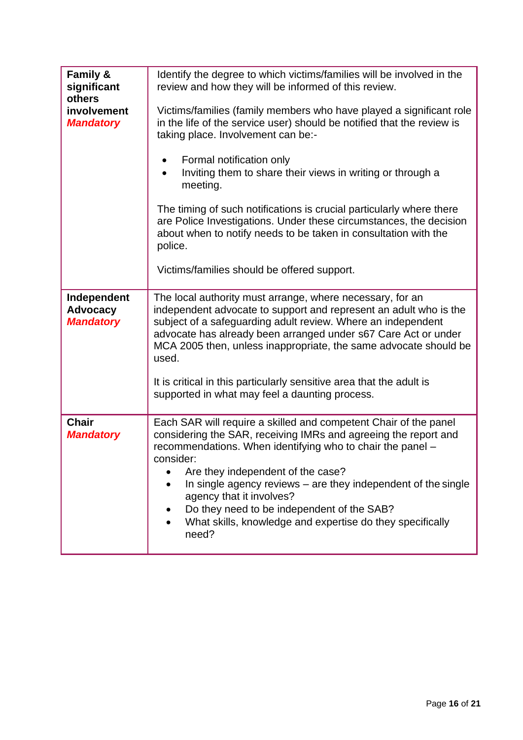| Family &<br>significant<br>others                  | Identify the degree to which victims/families will be involved in the<br>review and how they will be informed of this review.                                                                                                                                                                                                                 |
|----------------------------------------------------|-----------------------------------------------------------------------------------------------------------------------------------------------------------------------------------------------------------------------------------------------------------------------------------------------------------------------------------------------|
| involvement<br><b>Mandatory</b>                    | Victims/families (family members who have played a significant role<br>in the life of the service user) should be notified that the review is<br>taking place. Involvement can be:-                                                                                                                                                           |
|                                                    | Formal notification only<br>Inviting them to share their views in writing or through a<br>meeting.                                                                                                                                                                                                                                            |
|                                                    | The timing of such notifications is crucial particularly where there<br>are Police Investigations. Under these circumstances, the decision<br>about when to notify needs to be taken in consultation with the<br>police.                                                                                                                      |
|                                                    | Victims/families should be offered support.                                                                                                                                                                                                                                                                                                   |
| Independent<br><b>Advocacy</b><br><b>Mandatory</b> | The local authority must arrange, where necessary, for an<br>independent advocate to support and represent an adult who is the<br>subject of a safeguarding adult review. Where an independent<br>advocate has already been arranged under s67 Care Act or under<br>MCA 2005 then, unless inappropriate, the same advocate should be<br>used. |
|                                                    | It is critical in this particularly sensitive area that the adult is<br>supported in what may feel a daunting process.                                                                                                                                                                                                                        |
| <b>Chair</b><br><b>Mandatory</b>                   | Each SAR will require a skilled and competent Chair of the panel<br>considering the SAR, receiving IMRs and agreeing the report and<br>recommendations. When identifying who to chair the panel -<br>consider:                                                                                                                                |
|                                                    | Are they independent of the case?<br>In single agency reviews $-$ are they independent of the single<br>agency that it involves?<br>Do they need to be independent of the SAB?<br>What skills, knowledge and expertise do they specifically<br>need?                                                                                          |
|                                                    |                                                                                                                                                                                                                                                                                                                                               |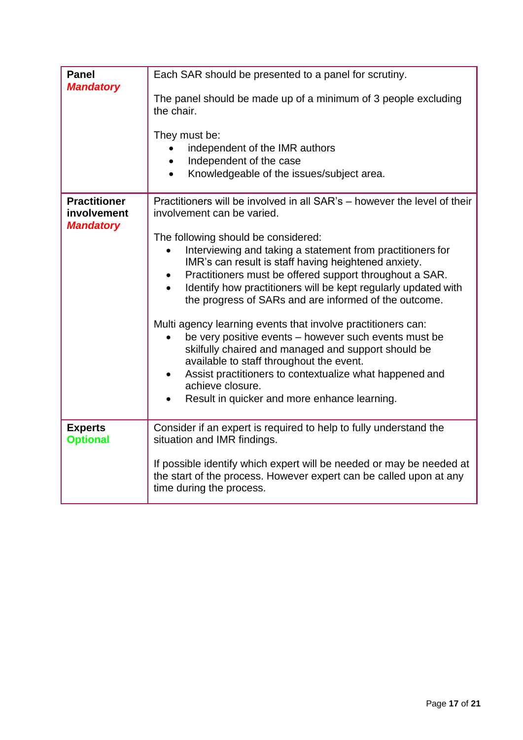| <b>Panel</b><br><b>Mandatory</b>                       | Each SAR should be presented to a panel for scrutiny.                                                                                                                                                                                                                                                                                                                                                                                                                                                                                                                                                                                                                                                                                |
|--------------------------------------------------------|--------------------------------------------------------------------------------------------------------------------------------------------------------------------------------------------------------------------------------------------------------------------------------------------------------------------------------------------------------------------------------------------------------------------------------------------------------------------------------------------------------------------------------------------------------------------------------------------------------------------------------------------------------------------------------------------------------------------------------------|
|                                                        | The panel should be made up of a minimum of 3 people excluding<br>the chair.                                                                                                                                                                                                                                                                                                                                                                                                                                                                                                                                                                                                                                                         |
|                                                        | They must be:<br>independent of the IMR authors<br>Independent of the case<br>$\bullet$<br>Knowledgeable of the issues/subject area.<br>$\bullet$                                                                                                                                                                                                                                                                                                                                                                                                                                                                                                                                                                                    |
| <b>Practitioner</b><br>involvement<br><b>Mandatory</b> | Practitioners will be involved in all SAR's - however the level of their<br>involvement can be varied.                                                                                                                                                                                                                                                                                                                                                                                                                                                                                                                                                                                                                               |
|                                                        | The following should be considered:<br>Interviewing and taking a statement from practitioners for<br>IMR's can result is staff having heightened anxiety.<br>Practitioners must be offered support throughout a SAR.<br>$\bullet$<br>Identify how practitioners will be kept regularly updated with<br>the progress of SARs and are informed of the outcome.<br>Multi agency learning events that involve practitioners can:<br>be very positive events - however such events must be<br>skilfully chaired and managed and support should be<br>available to staff throughout the event.<br>Assist practitioners to contextualize what happened and<br>$\bullet$<br>achieve closure.<br>Result in quicker and more enhance learning. |
| <b>Experts</b><br><b>Optional</b>                      | Consider if an expert is required to help to fully understand the<br>situation and IMR findings.                                                                                                                                                                                                                                                                                                                                                                                                                                                                                                                                                                                                                                     |
|                                                        | If possible identify which expert will be needed or may be needed at<br>the start of the process. However expert can be called upon at any<br>time during the process.                                                                                                                                                                                                                                                                                                                                                                                                                                                                                                                                                               |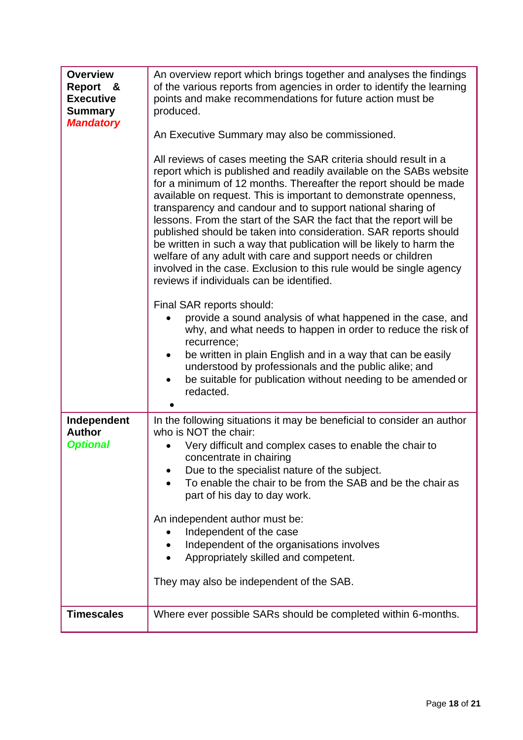| <b>Overview</b><br><b>Report</b><br>&<br><b>Executive</b><br><b>Summary</b><br><b>Mandatory</b> | An overview report which brings together and analyses the findings<br>of the various reports from agencies in order to identify the learning<br>points and make recommendations for future action must be<br>produced.<br>An Executive Summary may also be commissioned.<br>All reviews of cases meeting the SAR criteria should result in a<br>report which is published and readily available on the SABs website<br>for a minimum of 12 months. Thereafter the report should be made<br>available on request. This is important to demonstrate openness,<br>transparency and candour and to support national sharing of<br>lessons. From the start of the SAR the fact that the report will be<br>published should be taken into consideration. SAR reports should<br>be written in such a way that publication will be likely to harm the<br>welfare of any adult with care and support needs or children<br>involved in the case. Exclusion to this rule would be single agency<br>reviews if individuals can be identified.<br>Final SAR reports should:<br>provide a sound analysis of what happened in the case, and<br>why, and what needs to happen in order to reduce the risk of |
|-------------------------------------------------------------------------------------------------|----------------------------------------------------------------------------------------------------------------------------------------------------------------------------------------------------------------------------------------------------------------------------------------------------------------------------------------------------------------------------------------------------------------------------------------------------------------------------------------------------------------------------------------------------------------------------------------------------------------------------------------------------------------------------------------------------------------------------------------------------------------------------------------------------------------------------------------------------------------------------------------------------------------------------------------------------------------------------------------------------------------------------------------------------------------------------------------------------------------------------------------------------------------------------------------------|
|                                                                                                 | recurrence;<br>be written in plain English and in a way that can be easily<br>$\bullet$<br>understood by professionals and the public alike; and<br>be suitable for publication without needing to be amended or<br>$\bullet$<br>redacted.                                                                                                                                                                                                                                                                                                                                                                                                                                                                                                                                                                                                                                                                                                                                                                                                                                                                                                                                                   |
| Independent<br><b>Author</b><br><b>Optional</b>                                                 | In the following situations it may be beneficial to consider an author<br>who is NOT the chair:<br>Very difficult and complex cases to enable the chair to<br>concentrate in chairing<br>Due to the specialist nature of the subject.<br>To enable the chair to be from the SAB and be the chair as<br>part of his day to day work.<br>An independent author must be:<br>Independent of the case<br>Independent of the organisations involves<br>Appropriately skilled and competent.<br>They may also be independent of the SAB.                                                                                                                                                                                                                                                                                                                                                                                                                                                                                                                                                                                                                                                            |
| <b>Timescales</b>                                                                               | Where ever possible SARs should be completed within 6-months.                                                                                                                                                                                                                                                                                                                                                                                                                                                                                                                                                                                                                                                                                                                                                                                                                                                                                                                                                                                                                                                                                                                                |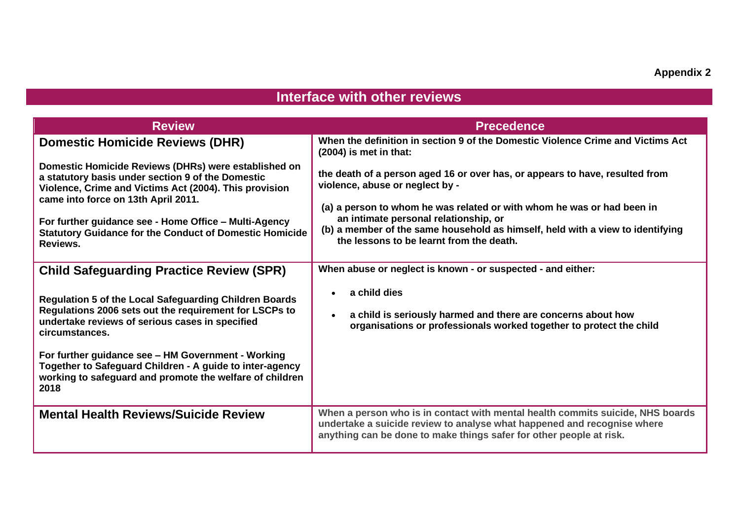# **Interface with other reviews**

| <b>Review</b>                                                                                                                                                                                                                                                                                                                                                               | <b>Precedence</b>                                                                                                                                                                                                                                                                                                                                                |
|-----------------------------------------------------------------------------------------------------------------------------------------------------------------------------------------------------------------------------------------------------------------------------------------------------------------------------------------------------------------------------|------------------------------------------------------------------------------------------------------------------------------------------------------------------------------------------------------------------------------------------------------------------------------------------------------------------------------------------------------------------|
| <b>Domestic Homicide Reviews (DHR)</b>                                                                                                                                                                                                                                                                                                                                      | When the definition in section 9 of the Domestic Violence Crime and Victims Act<br>$(2004)$ is met in that:                                                                                                                                                                                                                                                      |
| Domestic Homicide Reviews (DHRs) were established on<br>a statutory basis under section 9 of the Domestic<br>Violence, Crime and Victims Act (2004). This provision<br>came into force on 13th April 2011.<br>For further guidance see - Home Office – Multi-Agency<br><b>Statutory Guidance for the Conduct of Domestic Homicide</b><br>Reviews.                           | the death of a person aged 16 or over has, or appears to have, resulted from<br>violence, abuse or neglect by -<br>(a) a person to whom he was related or with whom he was or had been in<br>an intimate personal relationship, or<br>(b) a member of the same household as himself, held with a view to identifying<br>the lessons to be learnt from the death. |
| <b>Child Safeguarding Practice Review (SPR)</b>                                                                                                                                                                                                                                                                                                                             | When abuse or neglect is known - or suspected - and either:                                                                                                                                                                                                                                                                                                      |
| Regulation 5 of the Local Safeguarding Children Boards<br>Regulations 2006 sets out the requirement for LSCPs to<br>undertake reviews of serious cases in specified<br>circumstances.<br>For further guidance see - HM Government - Working<br>Together to Safeguard Children - A guide to inter-agency<br>working to safeguard and promote the welfare of children<br>2018 | a child dies<br>a child is seriously harmed and there are concerns about how<br>organisations or professionals worked together to protect the child                                                                                                                                                                                                              |
| <b>Mental Health Reviews/Suicide Review</b>                                                                                                                                                                                                                                                                                                                                 | When a person who is in contact with mental health commits suicide, NHS boards<br>undertake a suicide review to analyse what happened and recognise where<br>anything can be done to make things safer for other people at risk.                                                                                                                                 |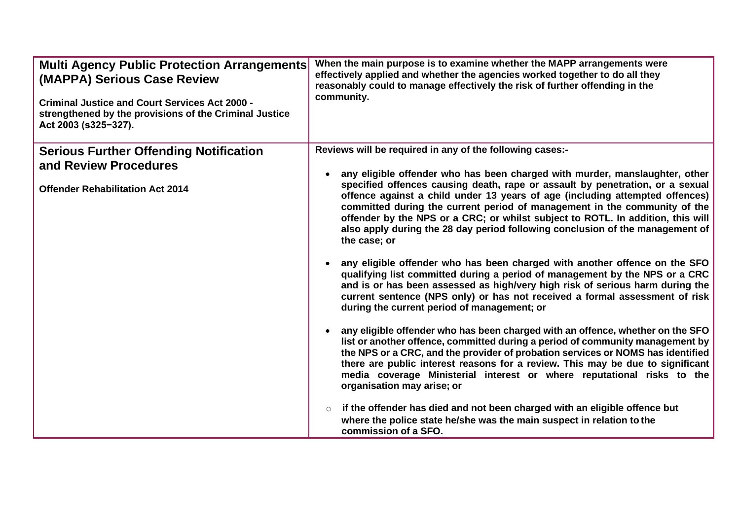| <b>Multi Agency Public Protection Arrangements</b><br>(MAPPA) Serious Case Review<br><b>Criminal Justice and Court Services Act 2000 -</b><br>strengthened by the provisions of the Criminal Justice<br>Act 2003 (s325-327). | When the main purpose is to examine whether the MAPP arrangements were<br>effectively applied and whether the agencies worked together to do all they<br>reasonably could to manage effectively the risk of further offending in the<br>community.                                                                                                                                                                                                                                                                                                                                                                                                                                                                                                                                                                                                                                                                                                                                                                                                                                                                                                                                                                                                                                                                                                                                                                                                                                                                                                                                              |
|------------------------------------------------------------------------------------------------------------------------------------------------------------------------------------------------------------------------------|-------------------------------------------------------------------------------------------------------------------------------------------------------------------------------------------------------------------------------------------------------------------------------------------------------------------------------------------------------------------------------------------------------------------------------------------------------------------------------------------------------------------------------------------------------------------------------------------------------------------------------------------------------------------------------------------------------------------------------------------------------------------------------------------------------------------------------------------------------------------------------------------------------------------------------------------------------------------------------------------------------------------------------------------------------------------------------------------------------------------------------------------------------------------------------------------------------------------------------------------------------------------------------------------------------------------------------------------------------------------------------------------------------------------------------------------------------------------------------------------------------------------------------------------------------------------------------------------------|
| <b>Serious Further Offending Notification</b><br>and Review Procedures<br><b>Offender Rehabilitation Act 2014</b>                                                                                                            | Reviews will be required in any of the following cases:-<br>any eligible offender who has been charged with murder, manslaughter, other<br>specified offences causing death, rape or assault by penetration, or a sexual<br>offence against a child under 13 years of age (including attempted offences)<br>committed during the current period of management in the community of the<br>offender by the NPS or a CRC; or whilst subject to ROTL. In addition, this will<br>also apply during the 28 day period following conclusion of the management of<br>the case; or<br>any eligible offender who has been charged with another offence on the SFO<br>qualifying list committed during a period of management by the NPS or a CRC<br>and is or has been assessed as high/very high risk of serious harm during the<br>current sentence (NPS only) or has not received a formal assessment of risk<br>during the current period of management; or<br>any eligible offender who has been charged with an offence, whether on the SFO<br>list or another offence, committed during a period of community management by<br>the NPS or a CRC, and the provider of probation services or NOMS has identified<br>there are public interest reasons for a review. This may be due to significant<br>media coverage Ministerial interest or where reputational risks to the<br>organisation may arise; or<br>if the offender has died and not been charged with an eligible offence but<br>$\circ$<br>where the police state he/she was the main suspect in relation to the<br>commission of a SFO. |